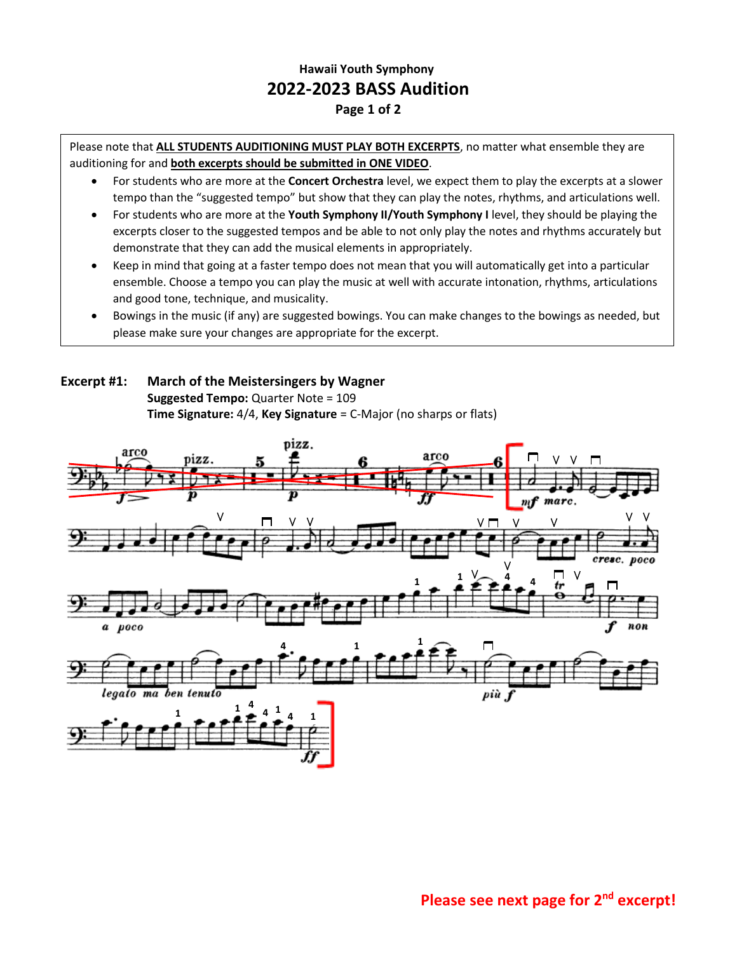## **Hawaii Youth Symphony 2022-2023 BASS Audition Page 1 of 2**

Please note that **ALL STUDENTS AUDITIONING MUST PLAY BOTH EXCERPTS**, no matter what ensemble they are auditioning for and **both excerpts should be submitted in ONE VIDEO**.

- For students who are more at the **Concert Orchestra** level, we expect them to play the excerpts at a slower tempo than the "suggested tempo" but show that they can play the notes, rhythms, and articulations well.
- For students who are more at the **Youth Symphony II/Youth Symphony I** level, they should be playing the excerpts closer to the suggested tempos and be able to not only play the notes and rhythms accurately but demonstrate that they can add the musical elements in appropriately.
- Keep in mind that going at a faster tempo does not mean that you will automatically get into a particular ensemble. Choose a tempo you can play the music at well with accurate intonation, rhythms, articulations and good tone, technique, and musicality.
- Bowings in the music (if any) are suggested bowings. You can make changes to the bowings as needed, but please make sure your changes are appropriate for the excerpt.

## **Excerpt #1: March of the Meistersingers by Wagner Suggested Tempo:** Quarter Note = 109 **Time Signature:** 4/4, **Key Signature** = C-Major (no sharps or flats)

•